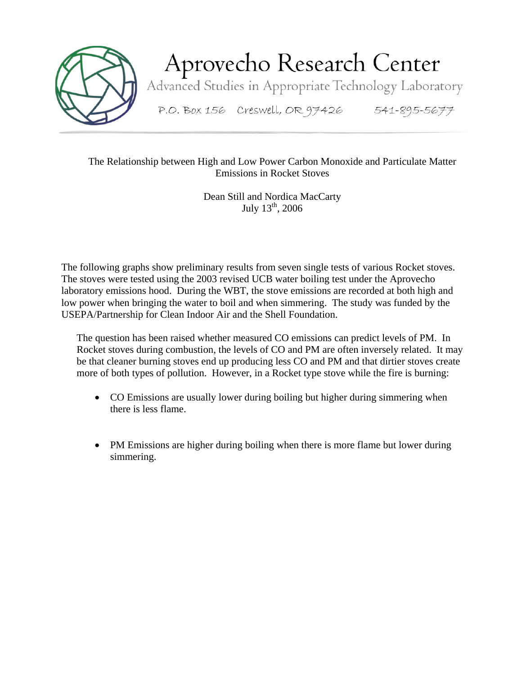

Aprovecho Research Center

Advanced Studies in Appropriate Technology Laboratory

P.O. Box 156 Creswell, OR 97426 541-895-5677

## The Relationship between High and Low Power Carbon Monoxide and Particulate Matter Emissions in Rocket Stoves

Dean Still and Nordica MacCarty July  $13^{th}$ , 2006

The following graphs show preliminary results from seven single tests of various Rocket stoves. The stoves were tested using the 2003 revised UCB water boiling test under the Aprovecho laboratory emissions hood. During the WBT, the stove emissions are recorded at both high and low power when bringing the water to boil and when simmering. The study was funded by the USEPA/Partnership for Clean Indoor Air and the Shell Foundation.

The question has been raised whether measured CO emissions can predict levels of PM. In Rocket stoves during combustion, the levels of CO and PM are often inversely related. It may be that cleaner burning stoves end up producing less CO and PM and that dirtier stoves create more of both types of pollution. However, in a Rocket type stove while the fire is burning:

- CO Emissions are usually lower during boiling but higher during simmering when there is less flame.
- PM Emissions are higher during boiling when there is more flame but lower during simmering.